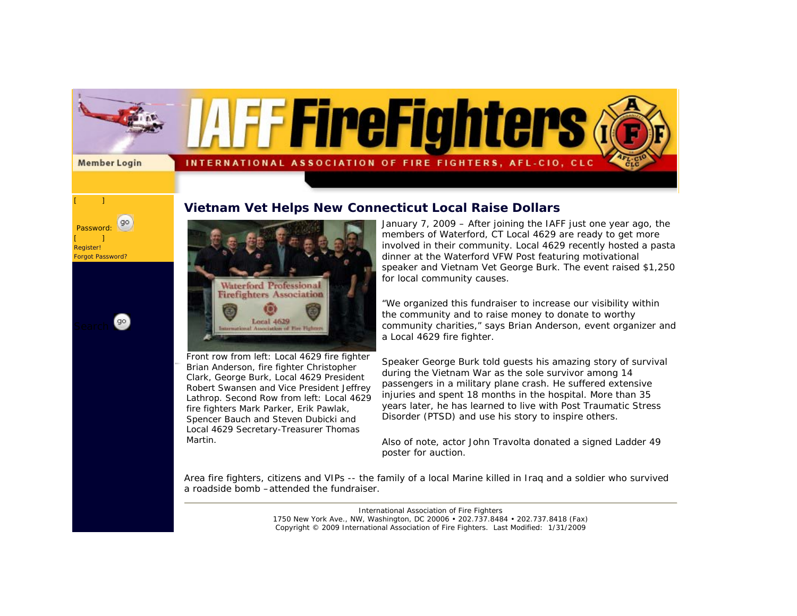

## **Vietnam Vet Helps New Connecticut Local Raise Dollars**



 Password:  $[$   $]$ Register! Forgot Password?

go

go

Front row from left: Local 4629 fire fighter Brian Anderson, fire fighter Christopher Clark, George Burk, Local 4629 President Robert Swansen and Vice President Jeffrey Lathrop. Second Row from left: Local 4629 fire fighters Mark Parker, Erik Pawlak, Spencer Bauch and Steven Dubicki and Local 4629 Secretary-Treasurer Thomas Martin.

January 7, 2009 – After joining the IAFF just one year ago, the members of Waterford, CT Local 4629 are ready to get more involved in their community. Local 4629 recently hosted a pasta dinner at the Waterford VFW Post featuring motivational speaker and Vietnam Vet George Burk. The event raised \$1,250 for local community causes.

"We organized this fundraiser to increase our visibility within the community and to raise money to donate to worthy community charities," says Brian Anderson, event organizer and a Local 4629 fire fighter.

Speaker George Burk told guests his amazing story of survival during the Vietnam War as the sole survivor among 14 passengers in a military plane crash. He suffered extensive injuries and spent 18 months in the hospital. More than 35 years later, he has learned to live with Post Traumatic Stress Disorder (PTSD) and use his story to inspire others.

Also of note, actor John Travolta donated a signed Ladder 49 poster for auction.

Area fire fighters, citizens and VIPs -- the family of a local Marine killed in Iraq and a soldier who survived a roadside bomb –attended the fundraiser.

> International Association of Fire Fighters 1750 New York Ave., NW, Washington, DC 20006 • 202.737.8484 • 202.737.8418 (Fax) Copyright © 2009 International Association of Fire Fighters. Last Modified: 1/31/2009